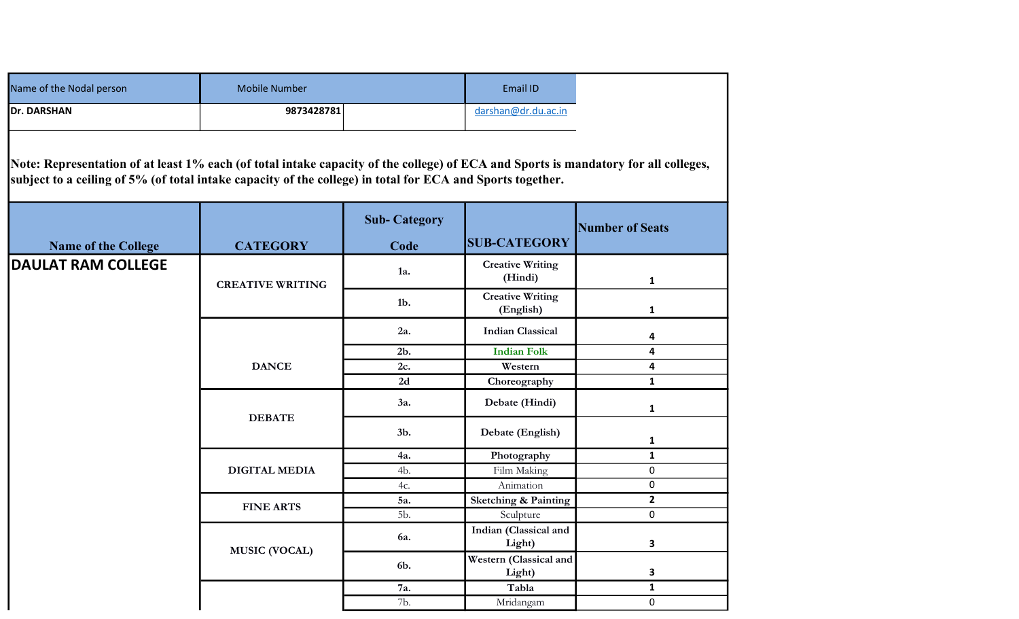| Name of the Nodal person                                                                                                                                                                                                                          | <b>Mobile Number</b>    |                             | Email ID                             |                        |  |
|---------------------------------------------------------------------------------------------------------------------------------------------------------------------------------------------------------------------------------------------------|-------------------------|-----------------------------|--------------------------------------|------------------------|--|
| <b>Dr. DARSHAN</b>                                                                                                                                                                                                                                | 9873428781              |                             | darshan@dr.du.ac.in                  |                        |  |
| Note: Representation of at least 1% each (of total intake capacity of the college) of ECA and Sports is mandatory for all colleges,<br>subject to a ceiling of 5% (of total intake capacity of the college) in total for ECA and Sports together. |                         |                             |                                      |                        |  |
| <b>Name of the College</b>                                                                                                                                                                                                                        | <b>CATEGORY</b>         | <b>Sub-Category</b><br>Code | <b>SUB-CATEGORY</b>                  | <b>Number of Seats</b> |  |
| <b>DAULAT RAM COLLEGE</b>                                                                                                                                                                                                                         | <b>CREATIVE WRITING</b> | 1a.                         | <b>Creative Writing</b><br>(Hindi)   | $\mathbf{1}$           |  |
|                                                                                                                                                                                                                                                   |                         | $1b$ .                      | <b>Creative Writing</b><br>(English) | 1                      |  |
|                                                                                                                                                                                                                                                   |                         | 2a.                         | <b>Indian Classical</b>              | 4                      |  |
|                                                                                                                                                                                                                                                   | <b>DANCE</b>            | $2b$ .                      | <b>Indian Folk</b>                   | 4                      |  |
|                                                                                                                                                                                                                                                   |                         | 2c.                         | Western                              | 4                      |  |
|                                                                                                                                                                                                                                                   |                         | 2d                          | Choreography                         | $\mathbf{1}$           |  |
|                                                                                                                                                                                                                                                   | <b>DEBATE</b>           | 3a.                         | Debate (Hindi)                       | 1                      |  |
|                                                                                                                                                                                                                                                   |                         | 3b.                         | Debate (English)                     | 1                      |  |
|                                                                                                                                                                                                                                                   | <b>DIGITAL MEDIA</b>    | 4a.                         | Photography                          | $\mathbf{1}$           |  |
|                                                                                                                                                                                                                                                   |                         | 4b.                         | Film Making                          | 0                      |  |
|                                                                                                                                                                                                                                                   |                         | 4c.                         | Animation                            | 0                      |  |
|                                                                                                                                                                                                                                                   | <b>FINE ARTS</b>        | 5a.                         | <b>Sketching &amp; Painting</b>      | $\mathbf{2}$           |  |
|                                                                                                                                                                                                                                                   |                         | 5b.                         | Sculpture                            | 0                      |  |
|                                                                                                                                                                                                                                                   | <b>MUSIC (VOCAL)</b>    | 6a.                         | Indian (Classical and<br>Light)      | 3                      |  |
|                                                                                                                                                                                                                                                   |                         | 6b.                         | Western (Classical and<br>Light)     | 3                      |  |
|                                                                                                                                                                                                                                                   |                         | 7a.                         | Tabla                                | $\mathbf{1}$           |  |
|                                                                                                                                                                                                                                                   |                         | 7b.                         | Mridangam                            | 0                      |  |